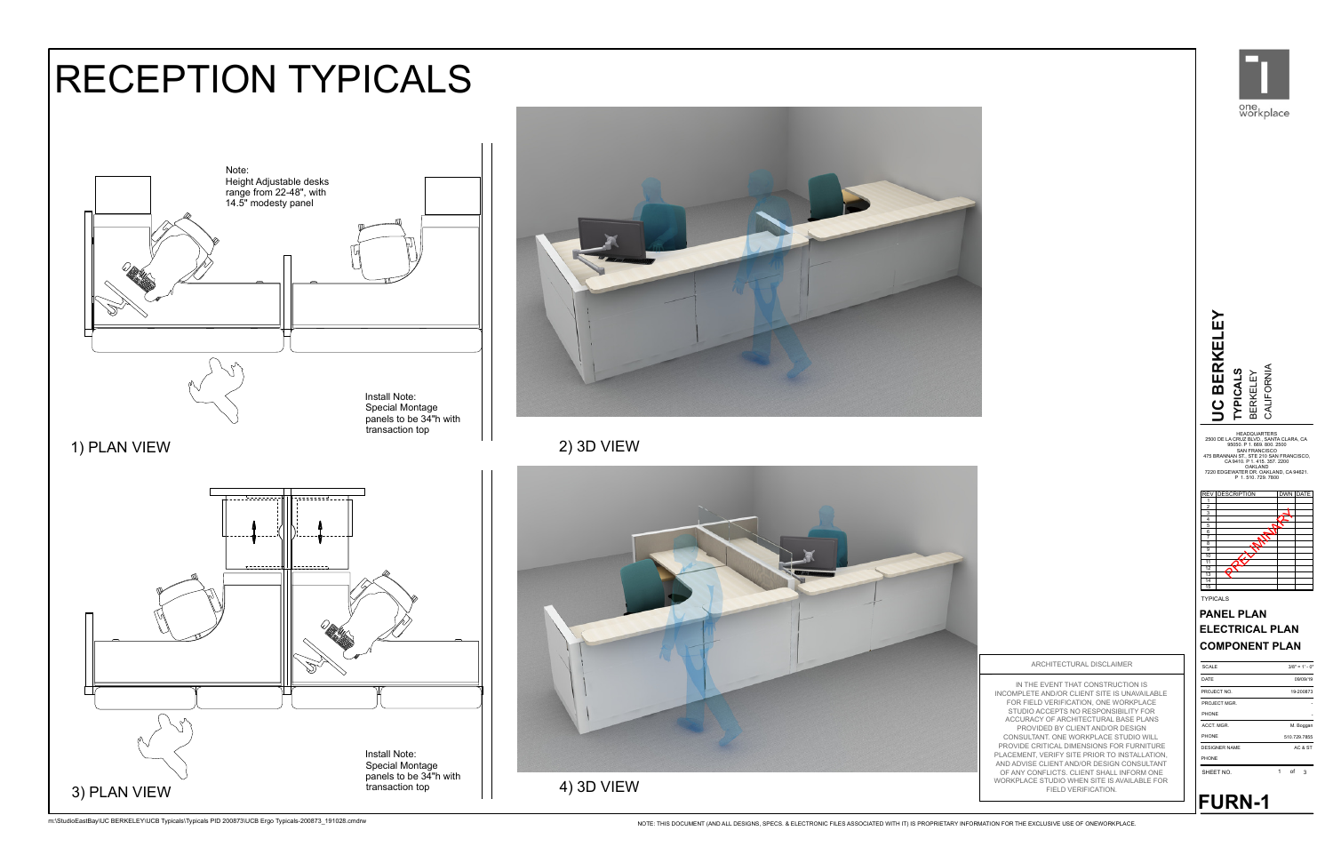

1 3 of





IN THE EVENT THAT CONSTRUCTION IS INCOMPLETE AND/OR CLIENT SITE IS UNAVAILABLE FOR FIELD VERIFICATION, ONE WORKPLACE STUDIO ACCEPTS NO RESPONSIBILITY FOR ACCURACY OF ARCHITECTURAL BASE PLANS PROVIDED BY CLIENT AND/OR DESIGN CONSULTANT. ONE WORKPLACE STUDIO WILL PROVIDE CRITICAL DIMENSIONS FOR FURNITURE PLACEMENT, VERIFY SITE PRIOR TO INSTALLATION,<br>AND ADVISE CLIENT SITE PRIOR DESIGN CONSULTANT<br>OF ANY CONFLICTS. CLIENT SHALL INFORM ONE<br>WORKPLACE STUDIO WHEN SITE IS AVAILABLE FOR<br>FIELD VERIFICATION. AND ADVISE CLIENT AND/OR DESIGN CONSULTANT OF ANY CONFLICTS. CLIENT SHALL INFORM ONE WORKPLACE STUDIO WHEN SITE IS AVAILABLE FOR



**FURN-1**

ARCHITECTURAL DISCLAIMER

## RECEPTION TYPICALS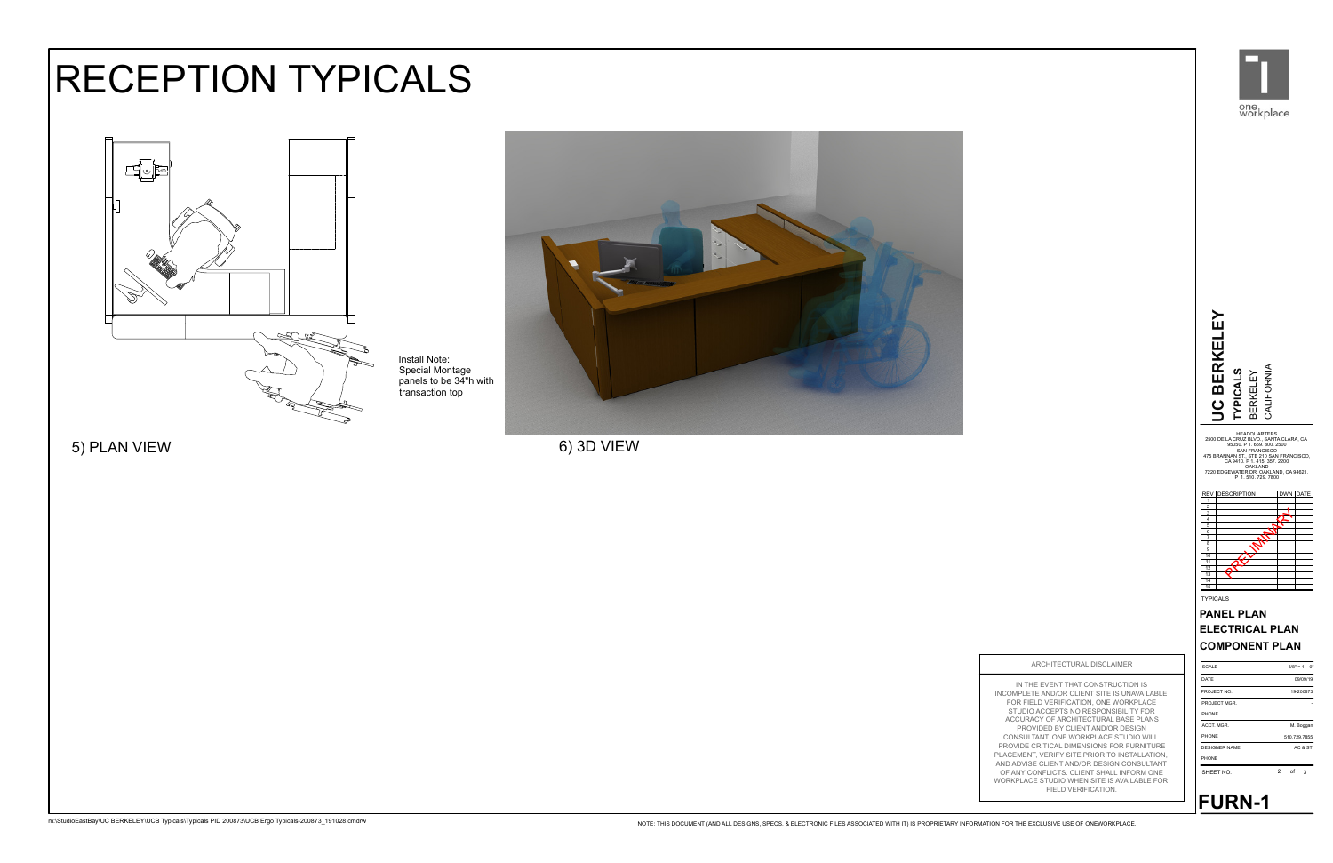

transaction top panels to be 34"h with Special Montage Install Note:

> IN THE EVENT THAT CONSTRUCTION IS INCOMPLETE AND/OR CLIENT SITE IS UNAVAILABLE FOR FIELD VERIFICATION, ONE WORKPLACE STUDIO ACCEPTS NO RESPONSIBILITY FOR ACCURACY OF ARCHITECTURAL BASE PLANS PROVIDED BY CLIENT AND/OR DESIGN CONSULTANT. ONE WORKPLACE STUDIO WILL PROVIDE CRITICAL DIMENSIONS FOR FURNITURE PLACEMENT, VERIFY SITE PRIOR TO INSTALLATION, AND ADVISE CLIENT AND/OR DESIGN CONSULTANT OF ANY CONFLICTS. CLIENT SHALL INFORM ONE WORKPLACE STUDIO WHEN SITE IS AVAILABLE FOR FIELD VERIFICATION.

ARCHITECTURAL DISCLAIMER



5) PLAN VIEW 6) 3D VIEW



## RECEPTION TYPICALS